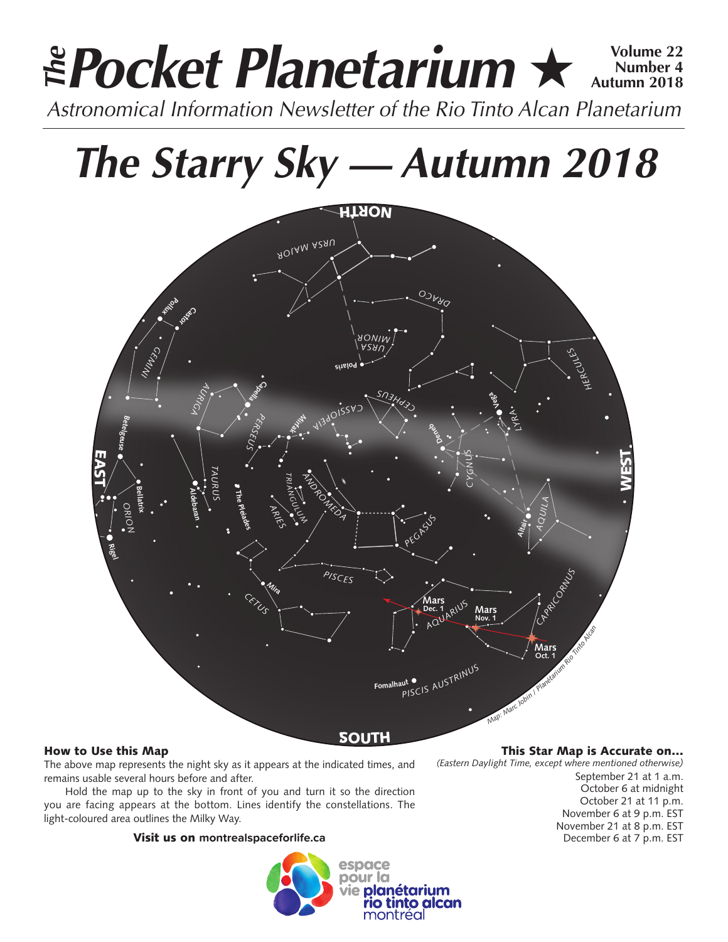# **Pocket Planetarium ★ 
Number 4 Number 4 Autumn 2018** *Astronomical Information Newsletter of the Rio Tinto Alcan Planetarium The*

# *The Starry Sky — Autumn 2018*



# How to Use this Map

The above map represents the night sky as it appears at the indicated times, and remains usable several hours before and after.

Hold the map up to the sky in front of you and turn it so the direction you are facing appears at the bottom. Lines identify the constellations. The light-coloured area outlines the Milky Way.

# Visit us on **montrealspaceforlife.ca**



This Star Map is Accurate on…

*(Eastern Daylight Time, except where mentioned otherwise)* September 21 at 1 a.m. October 6 at midnight October 21 at 11 p.m. November 6 at 9 p.m. EST November 21 at 8 p.m. EST December 6 at 7 p.m. EST